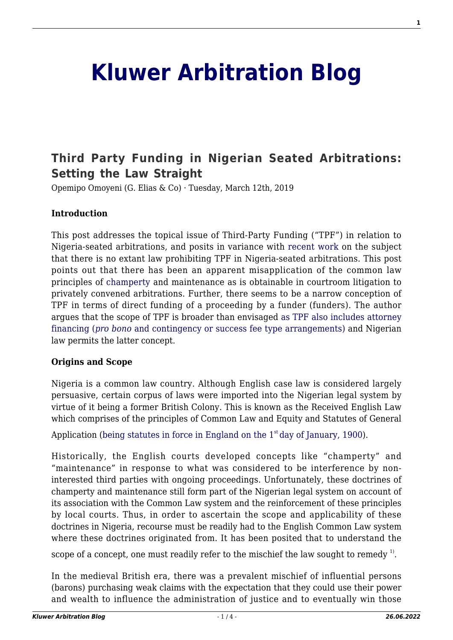# **[Kluwer Arbitration Blog](http://arbitrationblog.kluwerarbitration.com/)**

# **[Third Party Funding in Nigerian Seated Arbitrations:](http://arbitrationblog.kluwerarbitration.com/2019/03/12/third-party-funding-in-nigerian-seated-arbitrations-setting-the-law-straight/) [Setting the Law Straight](http://arbitrationblog.kluwerarbitration.com/2019/03/12/third-party-funding-in-nigerian-seated-arbitrations-setting-the-law-straight/)**

Opemipo Omoyeni (G. Elias & Co) · Tuesday, March 12th, 2019

### **Introduction**

This post addresses the topical issue of Third-Party Funding ("TPF") in relation to Nigeria-seated arbitrations, and posits in variance with [recent work](http://arbitrationblog.kluwerarbitration.com/2018/06/07/third-party-funding-arbitration-nigeria-yea-nay/) on the subject that there is no extant law prohibiting TPF in Nigeria-seated arbitrations. This post points out that there has been an apparent misapplication of the common law principles of [champerty](https://thelawdictionary.org/champerty/) and maintenance as is obtainable in courtroom litigation to privately convened arbitrations. Further, there seems to be a narrow conception of TPF in terms of direct funding of a proceeding by a funder (funders). The author argues that the scope of TPF is broader than envisaged [as TPF also includes attorney](https://researcharchive.vuw.ac.nz/xmlui/bitstream/handle/10063/4617/thesis.pdf?sequence=2) [financing \(](https://researcharchive.vuw.ac.nz/xmlui/bitstream/handle/10063/4617/thesis.pdf?sequence=2)*[pro bono](https://researcharchive.vuw.ac.nz/xmlui/bitstream/handle/10063/4617/thesis.pdf?sequence=2)* [and contingency or success fee type arrangements\)](https://researcharchive.vuw.ac.nz/xmlui/bitstream/handle/10063/4617/thesis.pdf?sequence=2) and Nigerian law permits the latter concept.

### **Origins and Scope**

Nigeria is a common law country. Although English case law is considered largely persuasive, certain corpus of laws were imported into the Nigerian legal system by virtue of it being a former British Colony. This is known as the Received English Law which comprises of the principles of Common Law and Equity and Statutes of General

Application (being statutes in force in England on the  $1<sup>st</sup>$  [day of January, 1900\)](http://www.nigeria-law.org/Interpretation%20Act.htm).

Historically, the English courts developed concepts like "champerty" and "maintenance" in response to what was considered to be interference by noninterested third parties with ongoing proceedings. Unfortunately, these doctrines of champerty and maintenance still form part of the Nigerian legal system on account of its association with the Common Law system and the reinforcement of these principles by local courts. Thus, in order to ascertain the scope and applicability of these doctrines in Nigeria, recourse must be readily had to the English Common Law system where these doctrines originated from. It has been posited that to understand the scope of a concept, one must readily refer to the mischief the law sought to remedy  $^{1)}$ .

In the medieval British era, there was a prevalent mischief of influential persons (barons) purchasing weak claims with the expectation that they could use their power and wealth to influence the administration of justice and to eventually win those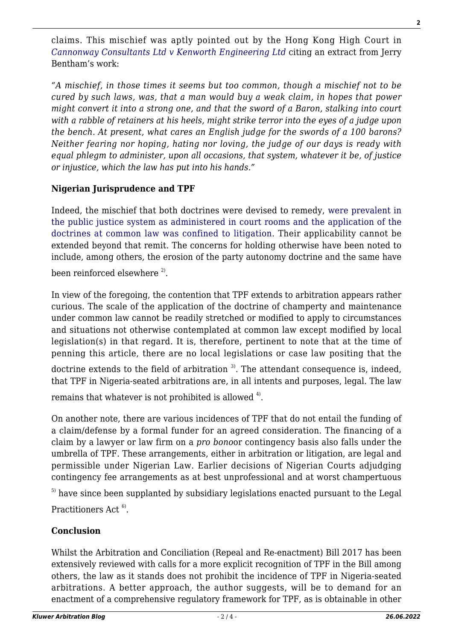claims. This mischief was aptly pointed out by the Hong Kong High Court in *[Cannonway Consultants Ltd v Kenworth Engineering Ltd](http://neil-kaplan.com/wp-content/uploads/2013/08/Cannonway-Consultants-Limited-v-Kenworth-Engineering-Limited-HCCT5-of-1994.pdf)* citing an extract from Jerry Bentham's work:

*"A mischief, in those times it seems but too common, though a mischief not to be cured by such laws, was, that a man would buy a weak claim, in hopes that power might convert it into a strong one, and that the sword of a Baron, stalking into court with a rabble of retainers at his heels, might strike terror into the eyes of a judge upon the bench. At present, what cares an English judge for the swords of a 100 barons? Neither fearing nor hoping, hating nor loving, the judge of our days is ready with equal phlegm to administer, upon all occasions, that system, whatever it be, of justice or injustice, which the law has put into his hands."*

# **Nigerian Jurisprudence and TPF**

Indeed, the mischief that both doctrines were devised to remedy, [were prevalent in](http://www.mondaq.com/uk/x/103272/Arbitration+Dispute+Resolution/The+Role+of+the+Doctrines+of+Champerty+and+Maintenance+in+Arbitration) [the public justice system as administered in court rooms and the application of the](http://www.mondaq.com/uk/x/103272/Arbitration+Dispute+Resolution/The+Role+of+the+Doctrines+of+Champerty+and+Maintenance+in+Arbitration) [doctrines at common law was confined to litigation.](http://www.mondaq.com/uk/x/103272/Arbitration+Dispute+Resolution/The+Role+of+the+Doctrines+of+Champerty+and+Maintenance+in+Arbitration) Their applicability cannot be extended beyond that remit. The concerns for holding otherwise have been noted to include, among others, the erosion of the party autonomy doctrine and the same have been reinforced elsewhere  $^{2}$ .

In view of the foregoing, the contention that TPF extends to arbitration appears rather curious. The scale of the application of the doctrine of champerty and maintenance under common law cannot be readily stretched or modified to apply to circumstances and situations not otherwise contemplated at common law except modified by local legislation(s) in that regard. It is, therefore, pertinent to note that at the time of penning this article, there are no local legislations or case law positing that the

doctrine extends to the field of arbitration  $3$ . The attendant consequence is, indeed, that TPF in Nigeria-seated arbitrations are, in all intents and purposes, legal. The law

remains that whatever is not prohibited is allowed  $4^{\circ}$ .

On another note, there are various incidences of TPF that do not entail the funding of a claim/defense by a formal funder for an agreed consideration. The financing of a claim by a lawyer or law firm on a *pro bono*or contingency basis also falls under the umbrella of TPF. These arrangements, either in arbitration or litigation, are legal and permissible under Nigerian Law. Earlier decisions of Nigerian Courts adjudging contingency fee arrangements as at best unprofessional and at worst champertuous

 $<sup>5)</sup>$  have since been supplanted by subsidiary legislations enacted pursuant to the Legal</sup> Practitioners Act<sup>6)</sup>.

# **Conclusion**

Whilst the Arbitration and Conciliation (Repeal and Re-enactment) Bill 2017 has been extensively reviewed with calls for a more explicit recognition of TPF in the Bill among others, the law as it stands does not prohibit the incidence of TPF in Nigeria-seated arbitrations. A better approach, the author suggests, will be to demand for an enactment of a comprehensive regulatory framework for TPF, as is obtainable in other

**2**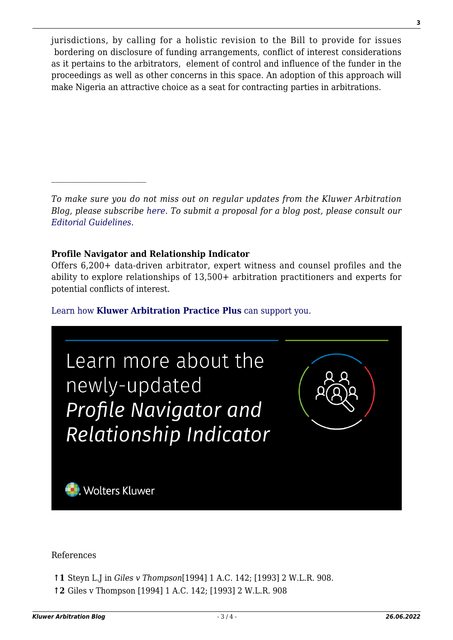jurisdictions, by calling for a holistic revision to the Bill to provide for issues bordering on disclosure of funding arrangements, conflict of interest considerations as it pertains to the arbitrators, element of control and influence of the funder in the proceedings as well as other concerns in this space. An adoption of this approach will make Nigeria an attractive choice as a seat for contracting parties in arbitrations.

*To make sure you do not miss out on regular updates from the Kluwer Arbitration Blog, please subscribe [here](http://arbitrationblog.kluwerarbitration.com/newsletter/). To submit a proposal for a blog post, please consult our [Editorial Guidelines.](http://arbitrationblog.kluwerarbitration.com/editorial-guidelines/)*

# **Profile Navigator and Relationship Indicator**

Offers 6,200+ data-driven arbitrator, expert witness and counsel profiles and the ability to explore relationships of 13,500+ arbitration practitioners and experts for potential conflicts of interest.

# [Learn how](https://www.wolterskluwer.com/en/solutions/kluwerarbitration/practiceplus?utm_source=arbitrationblog&utm_medium=articleCTA&utm_campaign=article-banner) **[Kluwer Arbitration Practice Plus](https://www.wolterskluwer.com/en/solutions/kluwerarbitration/practiceplus?utm_source=arbitrationblog&utm_medium=articleCTA&utm_campaign=article-banner)** [can support you.](https://www.wolterskluwer.com/en/solutions/kluwerarbitration/practiceplus?utm_source=arbitrationblog&utm_medium=articleCTA&utm_campaign=article-banner)



### References

- **↑1** Steyn L.J in *Giles v Thompson*[1994] 1 A.C. 142; [1993] 2 W.L.R. 908.
- **↑2** Giles v Thompson [1994] 1 A.C. 142; [1993] 2 W.L.R. 908